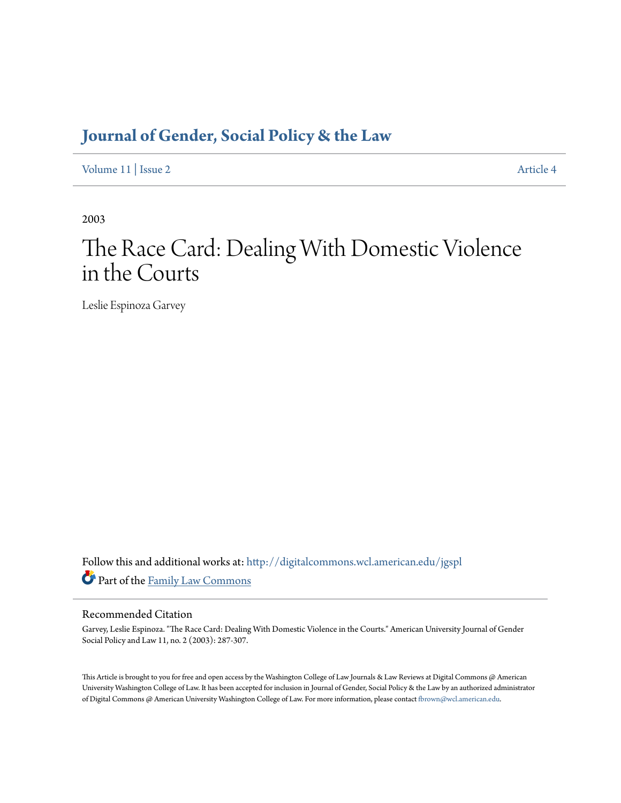## **[Journal of Gender, Social Policy & the Law](http://digitalcommons.wcl.american.edu/jgspl?utm_source=digitalcommons.wcl.american.edu%2Fjgspl%2Fvol11%2Fiss2%2F4&utm_medium=PDF&utm_campaign=PDFCoverPages)**

[Volume 11](http://digitalcommons.wcl.american.edu/jgspl/vol11?utm_source=digitalcommons.wcl.american.edu%2Fjgspl%2Fvol11%2Fiss2%2F4&utm_medium=PDF&utm_campaign=PDFCoverPages) | [Issue 2](http://digitalcommons.wcl.american.edu/jgspl/vol11/iss2?utm_source=digitalcommons.wcl.american.edu%2Fjgspl%2Fvol11%2Fiss2%2F4&utm_medium=PDF&utm_campaign=PDFCoverPages) [Article 4](http://digitalcommons.wcl.american.edu/jgspl/vol11/iss2/4?utm_source=digitalcommons.wcl.american.edu%2Fjgspl%2Fvol11%2Fiss2%2F4&utm_medium=PDF&utm_campaign=PDFCoverPages)

2003

# The Race Card: Dealing With Domestic Violence in the Courts

Leslie Espinoza Garvey

Follow this and additional works at: [http://digitalcommons.wcl.american.edu/jgspl](http://digitalcommons.wcl.american.edu/jgspl?utm_source=digitalcommons.wcl.american.edu%2Fjgspl%2Fvol11%2Fiss2%2F4&utm_medium=PDF&utm_campaign=PDFCoverPages) Part of the [Family Law Commons](http://network.bepress.com/hgg/discipline/602?utm_source=digitalcommons.wcl.american.edu%2Fjgspl%2Fvol11%2Fiss2%2F4&utm_medium=PDF&utm_campaign=PDFCoverPages)

### Recommended Citation

Garvey, Leslie Espinoza. "The Race Card: Dealing With Domestic Violence in the Courts." American University Journal of Gender Social Policy and Law 11, no. 2 (2003): 287-307.

This Article is brought to you for free and open access by the Washington College of Law Journals & Law Reviews at Digital Commons @ American University Washington College of Law. It has been accepted for inclusion in Journal of Gender, Social Policy & the Law by an authorized administrator of Digital Commons @ American University Washington College of Law. For more information, please contact [fbrown@wcl.american.edu.](mailto:fbrown@wcl.american.edu)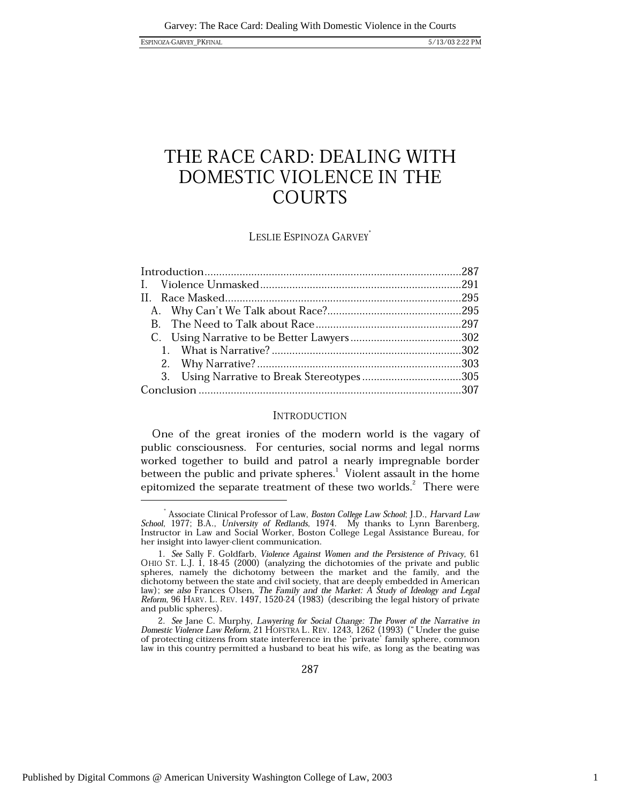# THE RACE CARD: DEALING WITH DOMESTIC VIOLENCE IN THE **COURTS**

### LESLIE ESPINOZA GARVEY<sup>\*</sup>

### **INTRODUCTION**

One of the great ironies of the modern world is the vagary of public consciousness. For centuries, social norms and legal norms worked together to build and patrol a nearly impregnable border between the public and private spheres.<sup>1</sup> Violent assault in the home epitomized the separate treatment of these two worlds.<sup>2</sup> There were

Associate Clinical Professor of Law, Boston College Law School; J.D., Harvard Law School, 1977; B.A., University of Redlands, 1974. My thanks to Lynn Barenberg, Instructor in Law and Social Worker, Boston College Legal Assistance Bureau, for her insight into lawyer-client communication.

<sup>1.</sup> See Sally F. Goldfarb, Violence Against Women and the Persistence of Privacy, 61 OHIO ST. L.J. 1, 18-45 (2000) (analyzing the dichotomies of the private and public spheres, namely the dichotomy between the market and the family, and the dichotomy between the state and civil society, that are deeply embedded in American law); see also Frances Olsen, The Family and the Market: A Study of Ideology and Legal Reform, 96 HARV. L. REV. 1497, 1520-24 (1983) (describing the legal history of private and public spheres).

<sup>2.</sup> See Jane C. Murphy, Lawyering for Social Change: The Power of the Narrative in Domestic Violence Law Reform, 21 HOFSTRA L. REV. 1243, 1262 (1993) ("Under the guise of protecting citizens from state interference in the 'private' family sphere, common law in this country permitted a husband to beat his wife, as long as the beating was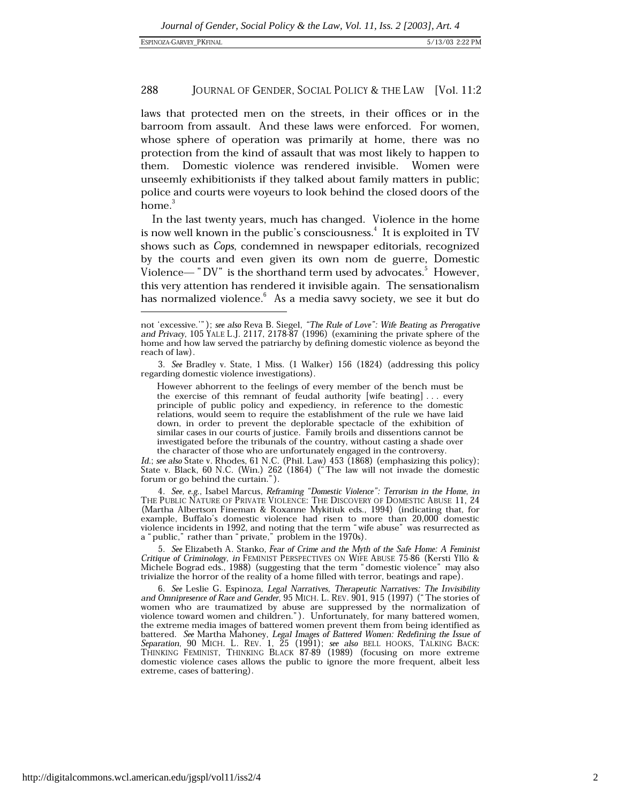laws that protected men on the streets, in their offices or in the barroom from assault. And these laws were enforced. For women, whose sphere of operation was primarily at home, there was no protection from the kind of assault that was most likely to happen to Domestic violence was rendered invisible. Women were them. unseemly exhibitionists if they talked about family matters in public; police and courts were voyeurs to look behind the closed doors of the home. $3$ 

In the last twenty years, much has changed. Violence in the home is now well known in the public's consciousness.<sup>4</sup> It is exploited in TV shows such as Cops, condemned in newspaper editorials, recognized by the courts and even given its own nom de guerre, Domestic Violence—" $DV$ " is the shorthand term used by advocates." However, this very attention has rendered it invisible again. The sensationalism has normalized violence. As a media savvy society, we see it but do

However abhorrent to the feelings of every member of the bench must be the exercise of this remnant of feudal authority [wife beating]... every principle of public policy and expediency, in reference to the domestic relations, would seem to require the establishment of the rule we have laid down, in order to prevent the deplorable spectacle of the exhibition of similar cases in our courts of justice. Family broils and dissentions cannot be investigated before the tribunals of the country, without casting a shade over the character of those who are unfortunately engaged in the controversy.

Id.; see also State v. Rhodes, 61 N.C. (Phil. Law) 453 (1868) (emphasizing this policy); State v. Black, 60 N.C. (Win.) 262 (1864) ("The law will not invade the domestic forum or go behind the curtain.").

4. See, e.g., Isabel Marcus, Reframing "Domestic Violence": Terrorism in the Home, in THE PUBLIC NATURE OF PRIVATE VIOLENCE: THE DISCOVERY OF DOMESTIC ABUSE 11, 24 (Martha Albertson Fineman & Roxanne Mykitiuk eds., 1994) (indicating that, for example, Buffalo's domestic violence had risen to more than 20,000 domestic violence incidents in 1992, and noting that the term "wife abuse" was resurrected as a "public," rather than "private," problem in the 1970s).

5. See Elizabeth A. Stanko, Fear of Crime and the Myth of the Safe Home: A Feminist Critique of Criminology, in FEMINIST PERSPECTIVES ON WIFE ABUSE 75-86 (Kersti Yllö & Michele Bograd eds., 1988) (suggesting that the term "domestic violence" may also trivialize the horror of the reality of a home filled with terror, beatings and rape)

6. See Leslie G. Espinoza, Legal Narratives, Therapeutic Narratives: The Invisibility and Omnipresence of Race and Gender, 95 MICH. L. REV. 901, 915 (1997) ("The stories of women who are traumatized by abuse are suppressed by the normalization of violence toward women and children."). Unfortunately, for many battered women,<br>the extreme media images of battered women prevent them from being identified as battered. See Martha Mahoney, Legal Images of Battered Women: Redefining the Issue of Separation, 90 MICH. L. REV. 1, 25 (1991); see also BELL HOOKS, TALKING BACK: THINKING FEMINIST, THINKING BLACK 87-89 (1989) (focusing o domestic violence cases allows the public to ignore the more frequent, albeit less extreme, cases of battering).

not 'excessive.'"); see also Reva B. Siegel, "The Rule of Love": Wife Beating as Prerogative and Privacy, 105 YALE L.J. 2117, 2178-87 (1996) (examining the private sphere of the home and how law served the patriarchy by defining domestic violence as beyond the reach of law).

<sup>3.</sup> See Bradley v. State, 1 Miss. (1 Walker) 156 (1824) (addressing this policy regarding domestic violence investigations).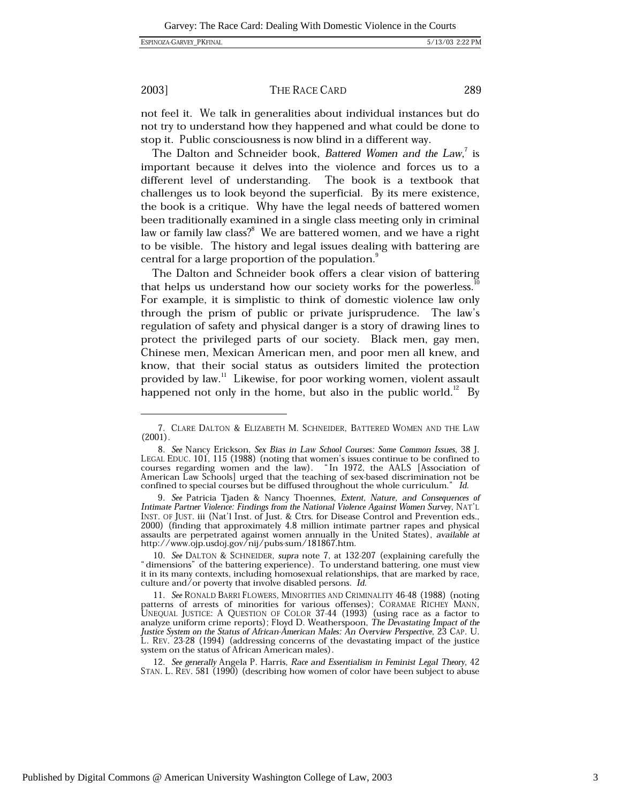289

### 2003]

### THE RACE CARD

not feel it. We talk in generalities about individual instances but do not try to understand how they happened and what could be done to

stop it. Public consciousness is now blind in a different way. The Dalton and Schneider book, Battered Women and the Law, is important because it delves into the violence and forces us to a different level of understanding. The book is a textbook that challenges us to look beyond the superficial. By its mere existence, the book is a critique. Why have the legal needs of battered women been traditionally examined in a single class meeting only in criminal law or family law class?<sup>8</sup> We are battered women, and we have a right to be visible. The history and legal issues dealing with battering are central for a large proportion of the population.<sup>9</sup>

The Dalton and Schneider book offers a clear vision of battering that helps us understand how our society works for the powerless. For example, it is simplistic to think of domestic violence law only through the prism of public or private jurisprudence. The law's regulation of safety and physical danger is a story of drawing lines to protect the privileged parts of our society. Black men, gay men, Chinese men, Mexican American men, and poor men all knew, and know, that their social status as outsiders limited the protection provided by law.<sup>11</sup> Likewise, for poor working women, violent assault happened not only in the home, but also in the public world.<sup>12</sup> By

10. See DALTON & SCHNEIDER, supra note 7, at 132-207 (explaining carefully the "dimensions" of the battering experience). To understand battering, one must view it in its many contexts, including homosexual relationships, that are marked by race, culture and/or poverty that involve disabled persons. Id.

11. See RONALD BARRI FLOWERS, MINORITIES AND CRIMINALITY 46-48 (1988) (noting patterns of arrests of minorities for various offenses); CORAMAE RICHEY MANN, UNEQUAL JUSTICE: A QUESTION OF COLOR 37-44 (1993) (using race as a factor to analyze uniform crime reports); Floyd D. Weatherspoon, The Devastating Impact of the Justice System on the Status of African-American Males: An Overview Perspective, 23 CAP. U.<br>L. REV. 23-28 (1994) (addressing concerns of the devastating impact of the justice system on the status of African American males).

12. See generally Angela P. Harris, Race and Essentialism in Feminist Legal Theory, 42 STAN. L. REV. 581 (1990) (describing how women of color have been subject to abuse

<sup>7.</sup> CLARE DALTON & ELIZABETH M. SCHNEIDER, BATTERED WOMEN AND THE LAW  $(2001).$ 

<sup>8.</sup> See Nancy Erickson, Sex Bias in Law School Courses: Some Common Issues, 38 J. LEGAL EDUC. 101, 115 (1988) (noting that women's issues continue to be confined to courses regarding women and the law). "In 1972, the AALS [Association of American Law Schools] urged that the teaching of sex-based discrimination not be confined to special courses but be diffused throughout the whole curriculum." Id.

<sup>9.</sup> See Patricia Tjaden & Nancy Thoennes, Extent, Nature, and Consequences of Intimate Partner Violence: Findings from the National Violence Against Women Survey, NAT'L INST. OF JUST. iii (Nat'l Inst. of Just. & Ctrs. for Disease Control and Prevention eds., 2000) (finding that approximately 4.8 million intimate partner rapes and physical assaults are perpetrated against women annually in the United States), available at http://www.ojp.usdoj.gov/nij/pubs-sum/181867.htm.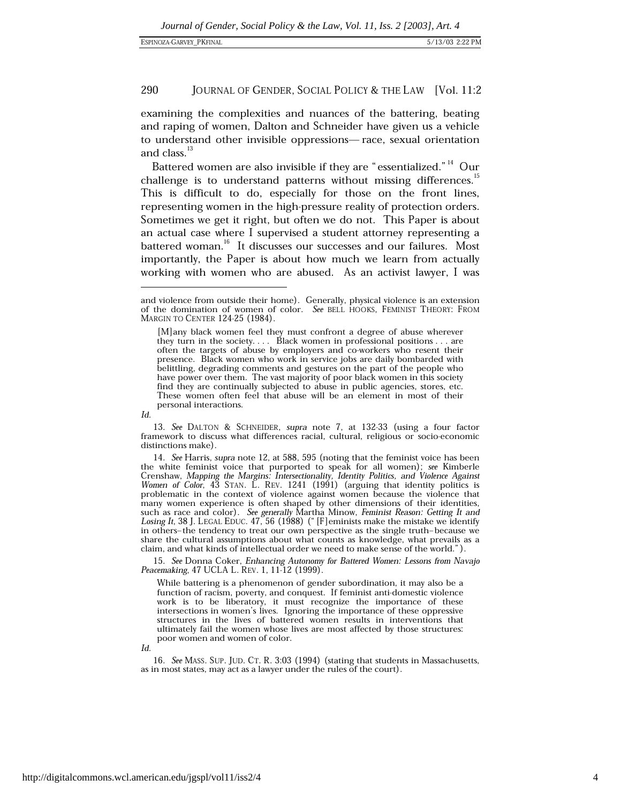examining the complexities and nuances of the battering, beating and raping of women, Dalton and Schneider have given us a vehicle to understand other invisible oppressions-race, sexual orientation and class.<sup>13</sup>

Battered women are also invisible if they are "essentialized."<sup>14</sup> Our challenge is to understand patterns without missing differences.<sup>15</sup> This is difficult to do, especially for those on the front lines, representing women in the high-pressure reality of protection orders. Sometimes we get it right, but often we do not. This Paper is about an actual case where I supervised a student attorney representing a battered woman.<sup>16</sup> It discusses our successes and our failures. Most importantly, the Paper is about how much we learn from actually working with women who are abused. As an activist lawyer, I was

13. See DALTON & SCHNEIDER, supra note 7, at 132-33 (using a four factor framework to discuss what differences racial, cultural, religious or socio-economic distinctions make).

14. See Harris, supra note 12, at 588, 595 (noting that the feminist voice has been the white feminist voice that purported to speak for all women); see Kimberle Crenshaw, Mapping the Margins: Intersectionality, Identity Politics, and Violence Against Women of Color, 43 STAN. L. REV. 1241 (1991) (arguing that identity politics is problematic in the context of violence against women because the violence that many women experience is often shaped by other dimensions of their identities, such as race and color). See generally Martha Minow, Feminist Reason: Getting It and Losing It, 38 J. LEGAL EDUC. 47, 56 (1988) ("[F] eminists make the mistake we identify in others-the tendency to treat our own perspective as the single truth-because we share the cultural assumptions about what counts as knowledge, what prevails as a claim, and what kinds of intellectual order we need to make sense of the world.").

15. See Donna Coker, Enhancing Autonomy for Battered Women: Lessons from Navajo Peacemaking, 47 UCLA L. REV. 1, 11-12 (1999).

While battering is a phenomenon of gender subordination, it may also be a function of racism, poverty, and conquest. If feminist anti-domestic violence work is to be liberatory, it must recognize the importance of these intersections in women's lives. Ignoring the importance of these oppressive structures in the lives of battered women results in interventions that ultimately fail the women whose lives are most affected by those structures: poor women and women of color.

 $Id$ 

16. See MASS, SUP. JUD. CT. R. 3:03 (1994) (stating that students in Massachusetts, as in most states, may act as a lawyer under the rules of the court).

and violence from outside their home). Generally, physical violence is an extension of the domination of women of color. See BELL HOOKS, FEMINIST THEORY: FROM MARGIN TO CENTER 124-25 (1984).

<sup>[</sup>M] any black women feel they must confront a degree of abuse wherever they turn in the society.... Black women in professional positions ... are often the targets of abuse by employers and co-workers who resent their presence. Black women who work in service jobs are daily bombarded with belittling, degrading comments and gestures on the part of the people who have power over them. The vast majority of poor black women in this society find they are continually subjected to abuse in public agencies, stores, etc. These women often feel that abuse will be an element in most of their personal interactions.

Id.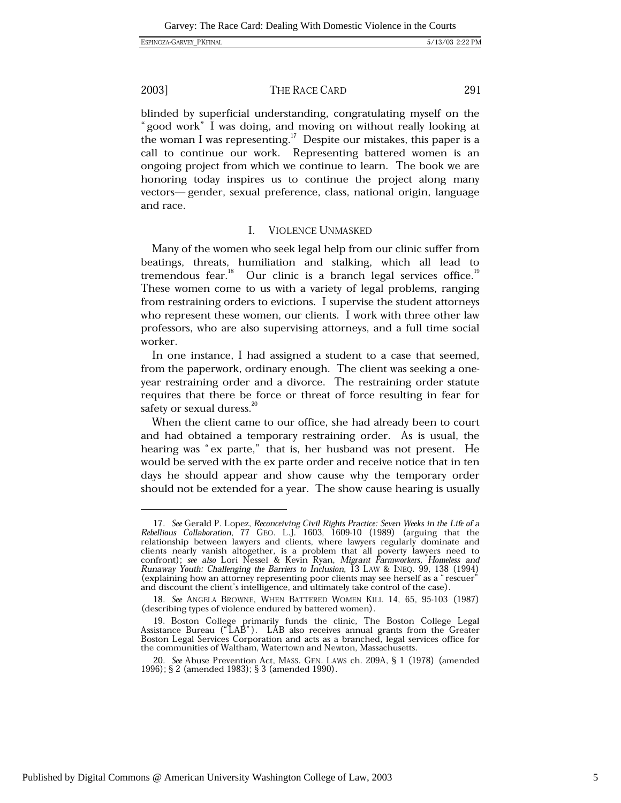### THE RACE CARD

blinded by superficial understanding, congratulating myself on the "good work" I was doing, and moving on without really looking at the woman I was representing.<sup>17</sup> Despite our mistakes, this paper is a call to continue our work. Representing battered women is an ongoing project from which we continue to learn. The book we are honoring today inspires us to continue the project along many vectors—gender, sexual preference, class, national origin, language and race.

#### **VIOLENCE UNMASKED** Ι.

Many of the women who seek legal help from our clinic suffer from beatings, threats, humiliation and stalking, which all lead to tremendous fear.<sup>18</sup> Our clinic is a branch legal services office.<sup>19</sup> These women come to us with a variety of legal problems, ranging from restraining orders to evictions. I supervise the student attorneys who represent these women, our clients. I work with three other law professors, who are also supervising attorneys, and a full time social worker.

In one instance, I had assigned a student to a case that seemed, from the paperwork, ordinary enough. The client was seeking a oneyear restraining order and a divorce. The restraining order statute requires that there be force or threat of force resulting in fear for safety or sexual duress.<sup>20</sup>

When the client came to our office, she had already been to court and had obtained a temporary restraining order. As is usual, the hearing was "ex parte," that is, her husband was not present. He would be served with the ex parte order and receive notice that in ten days he should appear and show cause why the temporary order should not be extended for a year. The show cause hearing is usually

<sup>17.</sup> See Gerald P. Lopez, Reconceiving Civil Rights Practice: Seven Weeks in the Life of a Rebellious Collaboration, 77 GEO. L.J. 1603, 1609-10 (1989) (arguing that the relationship between lawyers and clients, where lawyers regularly dominate and clients nearly vanish altogether, is a problem that all poverty lawyers need to confront); see also Lori Nessel & Kevin Ryan, Migrant Farmworkers, Homeless and Runaway Youth: Challenging the Barriers to Inclusion, I3 LAW & INEQ. 99, 138 (1994) (explaining how an attorney representing poor clients may see herself as a "rescuer" and discount the client's intelligence, and ultimately take control of the case).

<sup>18.</sup> See ANGELA BROWNE, WHEN BATTERED WOMEN KILL 14, 65, 95-103 (1987) (describing types of violence endured by battered women).

<sup>19.</sup> Boston College primarily funds the clinic, The Boston College Legal<br>Assistance Bureau ("LAB"). LAB also receives annual grants from the Greater Boston Legal Services Corporation and acts as a branched, legal services office for the communities of Waltham, Watertown and Newton, Massachusetts.

<sup>20.</sup> See Abuse Prevention Act, MASS. GEN. LAWS ch. 209A, § 1 (1978) (amended 1996); § 2 (amended 1983); § 3 (amended 1990).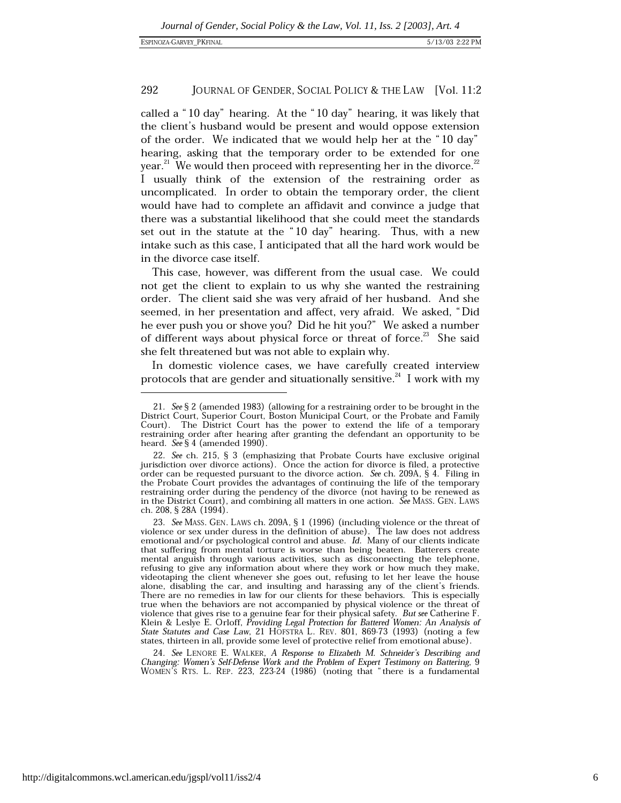called a "10 day" hearing. At the "10 day" hearing, it was likely that the client's husband would be present and would oppose extension of the order. We indicated that we would help her at the "10 day" hearing, asking that the temporary order to be extended for one year.<sup>21</sup> We would then proceed with representing her in the divorce.<sup>22</sup> I usually think of the extension of the restraining order as uncomplicated. In order to obtain the temporary order, the client would have had to complete an affidavit and convince a judge that there was a substantial likelihood that she could meet the standards set out in the statute at the "10 day" hearing. Thus, with a new intake such as this case, I anticipated that all the hard work would be in the divorce case itself.

This case, however, was different from the usual case. We could not get the client to explain to us why she wanted the restraining order. The client said she was very afraid of her husband. And she seemed, in her presentation and affect, very afraid. We asked, "Did he ever push you or shove you? Did he hit you?" We asked a number of different ways about physical force or threat of force.<sup>23</sup> She said she felt threatened but was not able to explain why.

In domestic violence cases, we have carefully created interview protocols that are gender and situationally sensitive.<sup>24</sup> I work with my

24. See LENORE E. WALKER, A Response to Elizabeth M. Schneider's Describing and Changing: Women's Self-Defense Work and the Problem of Expert Testimony on Battering, 9 WOMEN'S RTS. L. REP. 223, 223-24 (1986) (noting that "there is a fundamental

<sup>21.</sup> See § 2 (amended 1983) (allowing for a restraining order to be brought in the District Court, Superior Court, Boston Municipal Court, or the Probate and Family Court). The District Court has the power to extend the life of a temporary restraining order after hearing after granting the defendant an opportunity to be heard. See  $\S 4$  (amended 1990).

<sup>22.</sup> See ch. 215, § 3 (emphasizing that Probate Courts have exclusive original jurisdiction over divorce actions). Once the action for divorce is filed, a protective order can be requested pursuant to the divorce action. See ch. 209A, § 4. Filing in the Probate Court provides the advantages of continuing the life of the temporary restraining order during the pendency of the divorce (not having to be renewed as in the District Court), and combining all matters in one action. See MASS. GEN. LAWS ch. 208, § 28A (1994).

<sup>23.</sup> See MASS. GEN. LAWS ch. 209A, § 1 (1996) (including violence or the threat of violence or sex under duress in the definition of abuse). The law does not address emotional and/or psychological control and abuse. Id. Many of our clients indicate that suffering from mental torture is worse than being beaten. Batterers create mental anguish through various activities, such as disconnecting the telephone, refusing to give any information about where they work or how much they make, videotaping the client whenever she goes out, refusing to let her leave the house alone, disabling the car, and insulting and harassing any of the client's friends. There are no remedies in law for our clients for these behaviors. This is especially true when the behaviors are not accompanied by physical violence or the threat of violence that gives rise to a genuine fear for their physical safety. But see Catherine F. Klein & Leslye E. Orloff, Providing Legal Protection for Battered Women: An Analysis of State Statutes and Case Law, 21 HOFSTRA L. REV. 801, 869-73 (1993) (noting a few states, thirteen in all, provide some level of protective relief from emotional abuse).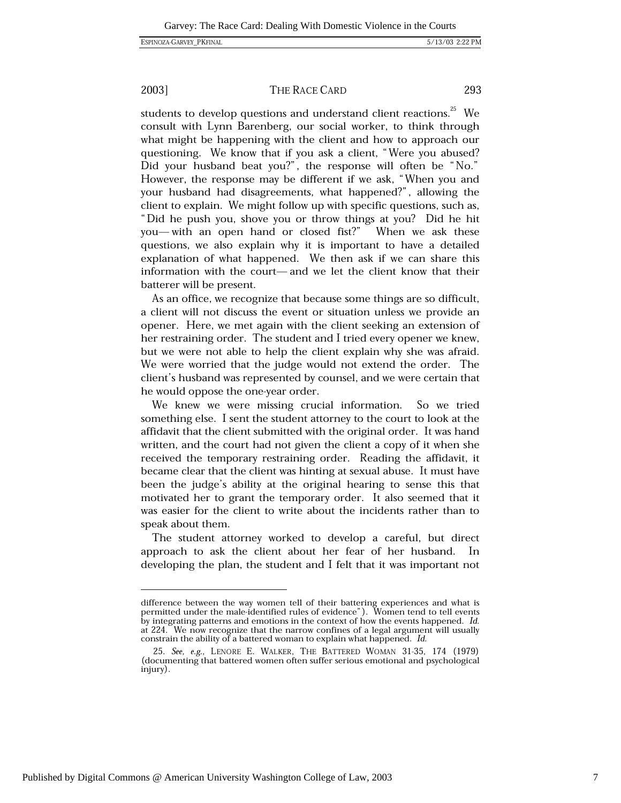### THE RACE CARD

293

students to develop questions and understand client reactions.<sup>25</sup> We consult with Lynn Barenberg, our social worker, to think through what might be happening with the client and how to approach our questioning. We know that if you ask a client, "Were you abused? Did your husband beat you?", the response will often be "No." However, the response may be different if we ask, "When you and your husband had disagreements, what happened?", allowing the client to explain. We might follow up with specific questions, such as, "Did he push you, shove you or throw things at you? Did he hit you—with an open hand or closed fist?" When we ask these questions, we also explain why it is important to have a detailed explanation of what happened. We then ask if we can share this information with the court-and we let the client know that their batterer will be present.

As an office, we recognize that because some things are so difficult, a client will not discuss the event or situation unless we provide an opener. Here, we met again with the client seeking an extension of her restraining order. The student and I tried every opener we knew, but we were not able to help the client explain why she was afraid. We were worried that the judge would not extend the order. The client's husband was represented by counsel, and we were certain that he would oppose the one-year order.

We knew we were missing crucial information. So we tried something else. I sent the student attorney to the court to look at the affidavit that the client submitted with the original order. It was hand written, and the court had not given the client a copy of it when she received the temporary restraining order. Reading the affidavit, it became clear that the client was hinting at sexual abuse. It must have been the judge's ability at the original hearing to sense this that motivated her to grant the temporary order. It also seemed that it was easier for the client to write about the incidents rather than to speak about them.

The student attorney worked to develop a careful, but direct approach to ask the client about her fear of her husband. In developing the plan, the student and  $\overline{I}$  felt that it was important not

difference between the way women tell of their battering experiences and what is permitted under the male-identified rules of evidence"). Women tend to tell events by integrating patterns and emotions in the context of how the events happened. Id. at 224. We now recognize that the narrow confines of a legal argument will usually constrain the ability of a battered woman to explain what happened. Id.

<sup>25.</sup> See, e.g., LENORE E. WALKER, THE BATTERED WOMAN 31-35, 174 (1979) (documenting that battered women often suffer serious emotional and psychological injury).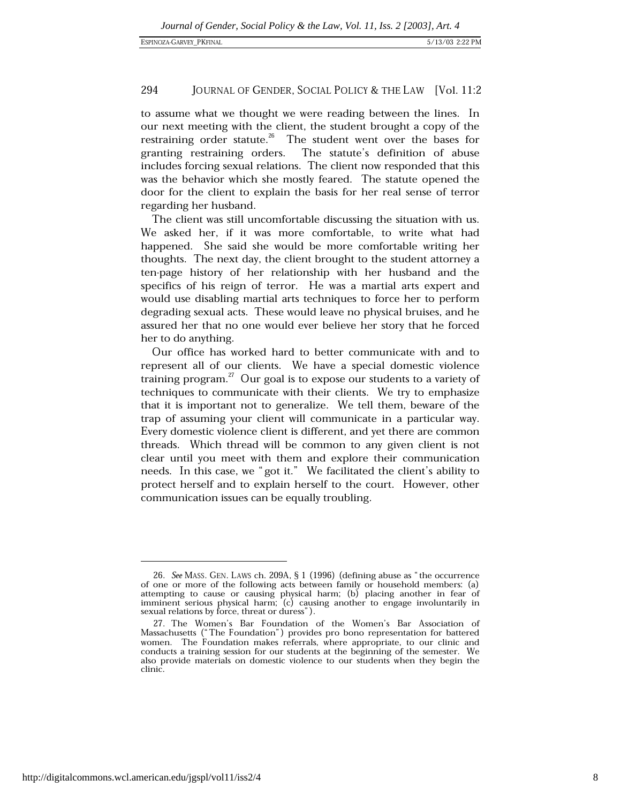to assume what we thought we were reading between the lines. In our next meeting with the client, the student brought a copy of the restraining order statute.<sup>26</sup> The student went over the bases for granting restraining orders. The statute's definition of abuse includes forcing sexual relations. The client now responded that this was the behavior which she mostly feared. The statute opened the door for the client to explain the basis for her real sense of terror regarding her husband.

The client was still uncomfortable discussing the situation with us. We asked her, if it was more comfortable, to write what had happened. She said she would be more comfortable writing her thoughts. The next day, the client brought to the student attorney a ten-page history of her relationship with her husband and the specifics of his reign of terror. He was a martial arts expert and would use disabling martial arts techniques to force her to perform degrading sexual acts. These would leave no physical bruises, and he assured her that no one would ever believe her story that he forced her to do anything.

Our office has worked hard to better communicate with and to represent all of our clients. We have a special domestic violence training program.<sup>27</sup> Our goal is to expose our students to a variety of techniques to communicate with their clients. We try to emphasize that it is important not to generalize. We tell them, beware of the trap of assuming your client will communicate in a particular way. Every domestic violence client is different, and yet there are common threads. Which thread will be common to any given client is not clear until you meet with them and explore their communication needs. In this case, we "got it." We facilitated the client's ability to protect herself and to explain herself to the court. However, other communication issues can be equally troubling.

<sup>26.</sup> See MASS. GEN. LAWS ch. 209A, § 1 (1996) (defining abuse as "the occurrence of one or more of the following acts between family or household members: (a) attempting to cause or causing physical harm;  $(b)$  placing another in fear of imminent serious physical harm; (c) causing another to engage involuntarily in sexual relations by force, threat or duress").

<sup>27.</sup> The Women's Bar Foundation of the Women's Bar Association of Massachusetts ("The Foundation") provides pro bono representation for battered women. The Foundation makes referrals, where appropriate, to our clinic and conducts a training session for our students at the beginning of the semester. We also provide materials on domestic violence to our students when they begin the clinic.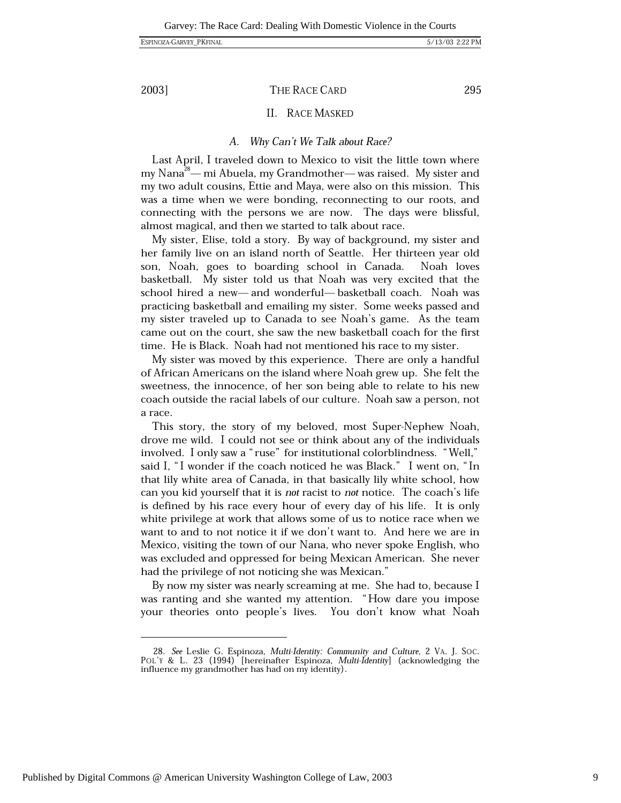THE RACE CARD

### II. RACE MASKED

#### Why Can't We Talk about Race? A.

Last April, I traveled down to Mexico to visit the little town where my Nana<sup>28</sup>— mi Abuela, my Grandmother— was raised. My sister and my two adult cousins, Ettie and Maya, were also on this mission. This was a time when we were bonding, reconnecting to our roots, and connecting with the persons we are now. The days were blissful, almost magical, and then we started to talk about race.

My sister, Elise, told a story. By way of background, my sister and her family live on an island north of Seattle. Her thirteen year old son, Noah, goes to boarding school in Canada. Noah loves basketball. My sister told us that Noah was very excited that the school hired a new-and wonderful-basketball coach. Noah was practicing basketball and emailing my sister. Some weeks passed and my sister traveled up to Canada to see Noah's game. As the team came out on the court, she saw the new basketball coach for the first time. He is Black. Noah had not mentioned his race to my sister.

My sister was moved by this experience. There are only a handful of African Americans on the island where Noah grew up. She felt the sweetness, the innocence, of her son being able to relate to his new coach outside the racial labels of our culture. Noah saw a person, not a race.

This story, the story of my beloved, most Super-Nephew Noah, drove me wild. I could not see or think about any of the individuals involved. I only saw a "ruse" for institutional colorblindness. "Well," said I, "I wonder if the coach noticed he was Black." I went on, "In that lily white area of Canada, in that basically lily white school, how can you kid yourself that it is not racist to not notice. The coach's life is defined by his race every hour of every day of his life. It is only white privilege at work that allows some of us to notice race when we want to and to not notice it if we don't want to. And here we are in Mexico, visiting the town of our Nana, who never spoke English, who was excluded and oppressed for being Mexican American. She never had the privilege of not noticing she was Mexican."

By now my sister was nearly screaming at me. She had to, because I was ranting and she wanted my attention. "How dare you impose your theories onto people's lives. You don't know what Noah

295

<sup>28.</sup> See Leslie G. Espinoza, Multi-Identity: Community and Culture, 2 VA. J. SOC. POL'Y & L. 23 (1994) [hereinafter Espinoza, Multi-Identity] (acknowledging the influence my grandmother has had on my identity).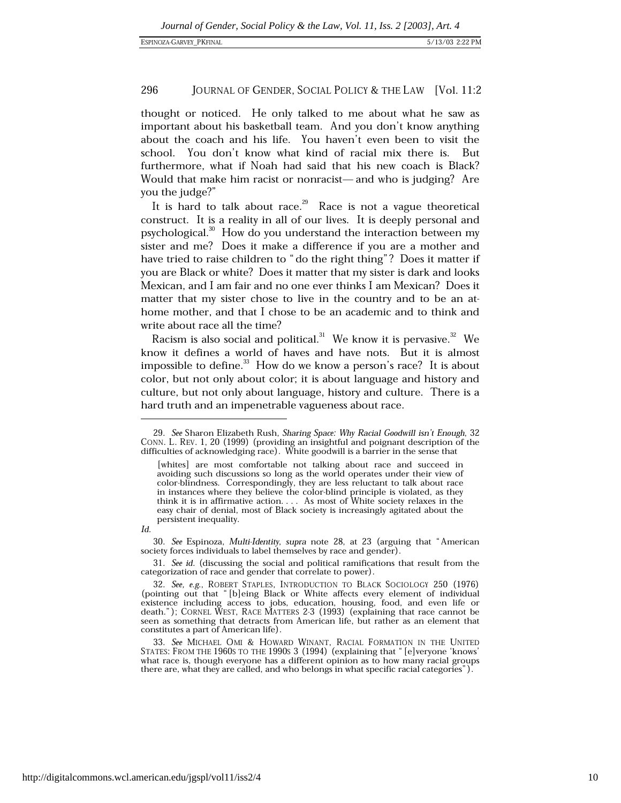thought or noticed. He only talked to me about what he saw as important about his basketball team. And you don't know anything about the coach and his life. You haven't even been to visit the school. You don't know what kind of racial mix there is. **But** furthermore, what if Noah had said that his new coach is Black? Would that make him racist or nonracist—and who is judging? Are you the judge?"

It is hard to talk about race.<sup>29</sup> Race is not a vague theoretical construct. It is a reality in all of our lives. It is deeply personal and psychological.<sup>30</sup> How do you understand the interaction between my sister and me? Does it make a difference if you are a mother and have tried to raise children to "do the right thing"? Does it matter if you are Black or white? Does it matter that my sister is dark and looks Mexican, and I am fair and no one ever thinks I am Mexican? Does it matter that my sister chose to live in the country and to be an athome mother, and that I chose to be an academic and to think and write about race all the time?

Racism is also social and political.<sup>31</sup> We know it is pervasive.<sup>32</sup> We know it defines a world of haves and have nots. But it is almost impossible to define.<sup>33</sup> How do we know a person's race? It is about color, but not only about color; it is about language and history and culture, but not only about language, history and culture. There is a hard truth and an impenetrable vagueness about race.

<sup>29.</sup> See Sharon Elizabeth Rush, Sharing Space: Why Racial Goodwill isn't Enough, 32 CONN. L. REV. 1, 20 (1999) (providing an insightful and poignant description of the difficulties of acknowledging race). White goodwill is a barrier in the sense that

<sup>[</sup>whites] are most comfortable not talking about race and succeed in avoiding such discussions so long as the world operates under their view of color-blindness. Correspondingly, they are less reluctant to talk about race in instances where they believe the color-blind principle is violated, as they think it is in affirmative action.... As most of White society relaxes in the easy chair of denial, most of Black society is increasingly agitated about the persistent inequality.

 $Id$ 

<sup>30.</sup> See Espinoza, Multi-Identity, supra note 28, at 23 (arguing that "American society forces individuals to label themselves by race and gender).

<sup>31.</sup> See id. (discussing the social and political ramifications that result from the categorization of race and gender that correlate to power).

<sup>32.</sup> See, e.g., ROBERT STAPLES, INTRODUCTION TO BLACK SOCIOLOGY 250 (1976) (pointing out that "[b]eing Black or White affects every element of individual<br>existence including access to jobs, education, housing, food, and even life or death."); CORNEL WEST, RACE MATTERS 2-3 (1993) (explaining that race cannot be seen as something that detracts from American life, but rather as an element that constitutes a part of American life).

<sup>33.</sup> See MICHAEL OMI & HOWARD WINANT, RACIAL FORMATION IN THE UNITED STATES: FROM THE 1960s TO THE 1990s 3 (1994) (explaining that "[e]veryone 'knows' what race is, though everyone has a different opinion as to how many racial groups there are, what they are called, and who belongs in what specific racial categories").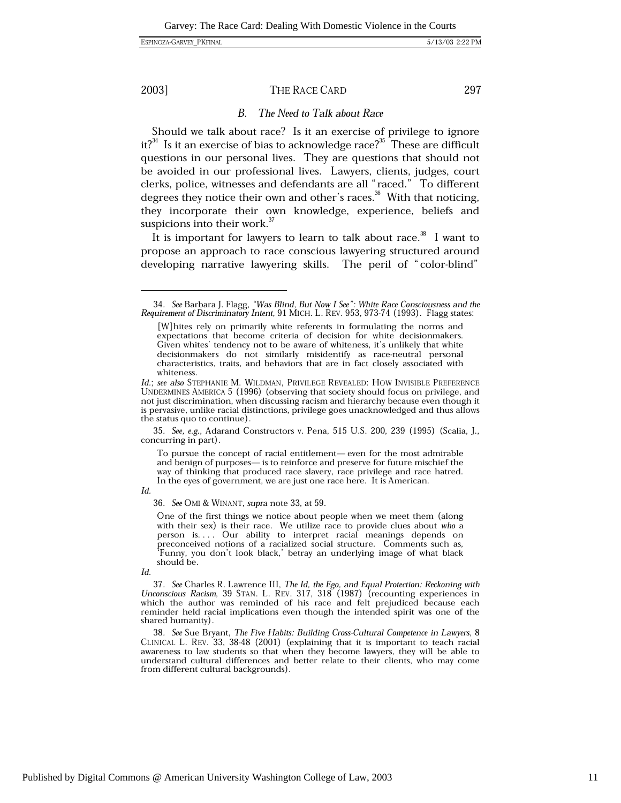### THE RACE CARD

297

#### $B_{\cdot}$ The Need to Talk about Race

Should we talk about race? Is it an exercise of privilege to ignore it?<sup>34</sup> Is it an exercise of bias to acknowledge race?<sup>35</sup> These are difficult questions in our personal lives. They are questions that should not be avoided in our professional lives. Lawyers, clients, judges, court clerks, police, witnesses and defendants are all "raced." To different degrees they notice their own and other's races.<sup>36</sup> With that noticing, they incorporate their own knowledge, experience, beliefs and suspicions into their work.<sup>37</sup>

It is important for lawyers to learn to talk about race.<sup>38</sup> I want to propose an approach to race conscious lawyering structured around developing narrative lawyering skills. The peril of "color-blind"

35. See, e.g., Adarand Constructors v. Pena, 515 U.S. 200, 239 (1995) (Scalia, J., concurring in part).

To pursue the concept of racial entitlement-even for the most admirable and benign of purposes— is to reinforce and preserve for future mischief the way of thinking that produced race slavery, race privilege and race hatred. In the eyes of government, we are just one race here. It is American.

Id.

36. See OMI & WINANT, supra note 33, at 59.

One of the first things we notice about people when we meet them (along with their sex) is their race. We utilize race to provide clues about who a person is.... Our ability to interpret racial meanings depends on preconceived notions of a racialized social structure. Comments such as, 'Funny, you don't look black,' betray an underlying image of what black should be.

37. See Charles R. Lawrence III, The Id, the Ego, and Equal Protection: Reckoning with Unconscious Racism, 39 STAN. L. REV. 317, 318 (1987) (recounting experiences in which the author was reminded of his race and felt prejudiced because each reminder held racial implications even though the intended spirit was one of the shared humanity).

38. See Sue Bryant, The Five Habits: Building Cross-Cultural Competence in Lawyers, 8 CLINICAL L. REV. 33, 38-48 (2001) (explaining that it is important to teach racial awareness to law students so that when they become lawyers, they will be able to understand cultural differences and better relate to their clients, who may come from different cultural backgrounds).

<sup>34.</sup> See Barbara J. Flagg, "Was Blind, But Now I See": White Race Consciousness and the Requirement of Discriminatory Intent, 91 MICH. L. REV. 953, 973-74 (1993). Flagg states:

<sup>[</sup>W] hites rely on primarily white referents in formulating the norms and expectations that become criteria of decision for white decisionmakers. Given whites' tendency not to be aware of whiteness, it's unlikely that white decisionmakers do not similarly misidentify as race-neutral personal characteristics, traits, and behaviors that are in fact closely associated with whiteness.

Id.; see also STEPHANIE M. WILDMAN, PRIVILEGE REVEALED: HOW INVISIBLE PREFERENCE UNDERMINES AMERICA 5 (1996) (observing that society should focus on privilege, and not just discrimination, when discussing racism and hierarchy because even though it is pervasive, unlike racial distinctions, privilege goes unacknowledged and thus allows the status quo to continue).

Id.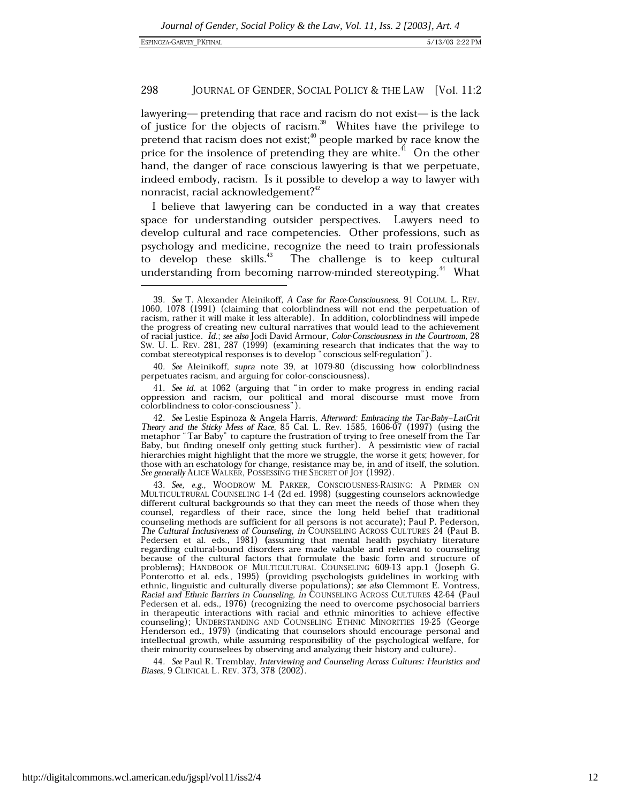lawyering— pretending that race and racism do not exist— is the lack of justice for the objects of racism.<sup>39</sup> Whites have the privilege to pretend that racism does not exist;<sup>40</sup> people marked by race know the price for the insolence of pretending they are white.<sup>41</sup> On the other hand, the danger of race conscious lawyering is that we perpetuate, indeed embody, racism. Is it possible to develop a way to lawyer with nonracist, racial acknowledgement?<sup>42</sup>

I believe that lawyering can be conducted in a way that creates space for understanding outsider perspectives. Lawyers need to develop cultural and race competencies. Other professions, such as psychology and medicine, recognize the need to train professionals to develop these skills. $43$ The challenge is to keep cultural understanding from becoming narrow-minded stereotyping.<sup>44</sup> What

44. See Paul R. Tremblay, Interviewing and Counseling Across Cultures: Heuristics and Biases, 9 CLINICAL L. REV. 373, 378 (2002).

<sup>39.</sup> See T. Alexander Aleinikoff, A Case for Race-Consciousness, 91 COLUM. L. REV. 1060, 1078 (1991) (claiming that colorblindness will not end the perpetuation of racism, rather it will make it less alterable). In addition, colorblindness will impede the progress of creating new cultural narratives that would lead to the achievement of racial justice. Id.; see also Jodi David Armour, Color-Consciousness in the Courtroom, 28 Sw. U. L. REV. 281, 287 (1999) (examining research that indicates that the way to combat stereotypical responses is to develop "conscious self-regulation").

<sup>40.</sup> See Aleinikoff, supra note 39, at 1079-80 (discussing how colorblindness perpetuates racism, and arguing for color-consciousness).

<sup>41.</sup> See id. at 1062 (arguing that "in order to make progress in ending racial oppression and racism, our political and moral discourse must move from colorblindness to color-consciousness").

<sup>42.</sup> See Leslie Espinoza & Angela Harris, Afterword: Embracing the Tar-Baby-LatCrit Theory and the Sticky Mess of Race, 85 Cal. L. Rev. 1585, 1606-07 (1997) (using the metaphor "Tar Baby" to capture the frustration of trying to free oneself from the Tar Baby, but finding oneself only getting stuck further). A pessimistic view of racial hierarchies might highlight that the more we struggle, the worse it gets; however, for those with an eschatology for change, resistance may be, in and of itself, the solution. See generally ALICE WALKER, POSSESSING THE SECRET OF JOY (1992).

<sup>43.</sup> See, e.g., WOODROW M. PARKER, CONSCIOUSNESS-RAISING: A PRIMER ON MULTICULTRURAL COUNSELING 1-4 (2d ed. 1998) (suggesting counselors acknowledge different cultural backgrounds so that they can meet the needs of those when they counsel, regardless of their race, since the long held belief that traditional counseling methods are sufficient for all persons is not accurate); Paul P. Pederson, The Cultural Inclusiveness of Counseling, in COUNSELING ACROSS CULTURES 24 (Paul B. Pedersen et al. eds., 1981) (assuming that mental health psychiatry literature regarding cultural-bound disorders are made valuable and relevant to counseling because of the cultural factors that formulate the basic form and structure of problems); HANDBOOK OF MULTICULTURAL COUNSELING 609-13 app.1 (Joseph G. Ponterotto et al. eds., 1995) (providing psychologists guidelines in working with ethnic, linguistic and culturally diverse populations); see also Clemmont E. Vontress, Racial and Ethnic Barriers in Counseling, in COUNSELING ACROSS CULTURES 42-64 (Paul Pedersen et al. eds., 1976) (recognizing the need to overcome psychosocial barriers in therapeutic interactions with racial and ethnic minorities to achieve effective counseling); UNDERSTANDING AND COUNSELING ETHNIC MINORITIES 19-25 (George Henderson ed., 1979) (indicating that counselors should encourage personal and intellectual growth, while assuming responsibility of the psychological welfare, for their minority counselees by observing and analyzing their history and culture).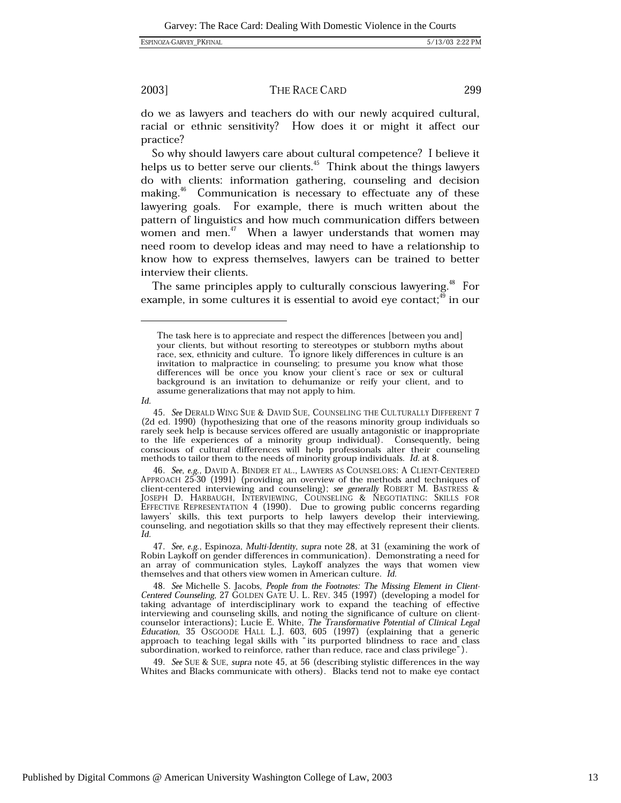### THE RACE CARD

299

do we as lawyers and teachers do with our newly acquired cultural, racial or ethnic sensitivity? How does it or might it affect our practice?

So why should lawyers care about cultural competence? I believe it helps us to better serve our clients.<sup>45</sup> Think about the things lawyers do with clients: information gathering, counseling and decision making.<sup>46</sup> Communication is necessary to effectuate any of these lawyering goals. For example, there is much written about the pattern of linguistics and how much communication differs between women and men.<sup>47</sup> When a lawyer understands that women may need room to develop ideas and may need to have a relationship to know how to express themselves, lawyers can be trained to better interview their clients.

The same principles apply to culturally conscious lawyering.<sup>48</sup> For example, in some cultures it is essential to avoid eye contact;<sup>49</sup> in our

 $Id$ 

49. See SUE & SUE, supra note 45, at 56 (describing stylistic differences in the way Whites and Blacks communicate with others). Blacks tend not to make eye contact

The task here is to appreciate and respect the differences [between you and] your clients, but without resorting to stereotypes or stubborn myths about race, sex, ethnicity and culture. To ignore likely differences in culture is an invitation to malpractice in counseling; to presume you know what those differences will be once you know your client's race or sex or cultural background is an invitation to dehumanize or reify your client, and to assume generalizations that may not apply to him.

<sup>45.</sup> See DERALD WING SUE & DAVID SUE, COUNSELING THE CULTURALLY DIFFERENT 7 (2d ed. 1990) (hypothesizing that one of the reasons minority group individuals so rarely seek help is because services offered are usually antagonistic or inappropriate to the life experiences of a minority group individual). Consequently, being conscious of cultural differences will help professionals alter their counseling methods to tailor them to the needs of minority group individuals. Id. at 8.

<sup>46.</sup> See, e.g., DAVID A. BINDER ET AL., LAWYERS AS COUNSELORS: A CLIENT-CENTERED APPROACH 25-30 (1991) (providing an overview of the methods and techniques of client-centered interviewing and counseling); see generally ROBERT M. BASTRESS & JOSEPH D. HARBAUGH, INTERVIEWING, COUNSELING & NEGOTIATING: SKILLS FOR EFFECTIVE REPRESENTATION 4 (1990). Due to growing public concerns regarding lawyers' skills, this text purports to help lawyers develop their interviewing, counseling, and negotiation skills so that they may effectively represent their clients. Id.

<sup>47.</sup> See, e.g., Espinoza, Multi-Identity, supra note 28, at 31 (examining the work of Robin Laykoff on gender differences in communication). Demonstrating a need for an array of communication styles, Laykoff analyzes the ways that women view themselves and that others view women in American culture. Id.

<sup>48.</sup> See Michelle S. Jacobs, People from the Footnotes: The Missing Element in Client-Centered Counseling, 27 GOLDEN GATE U. L. REV. 345 (1997) (developing a model for taking advantage of interdisciplinary work to expand the teaching of effective interviewing and counseling skills, and noting the significance of culture on clientcounselor interactions); Lucie E. White, The Transformative Potential of Clinical Legal Education, 35 OSCOODE HALL L.J. 603, 605 (1997) (explaining that a generic approach to teaching legal skills with "its purported blind subordination, worked to reinforce, rather than reduce, race and class privilege").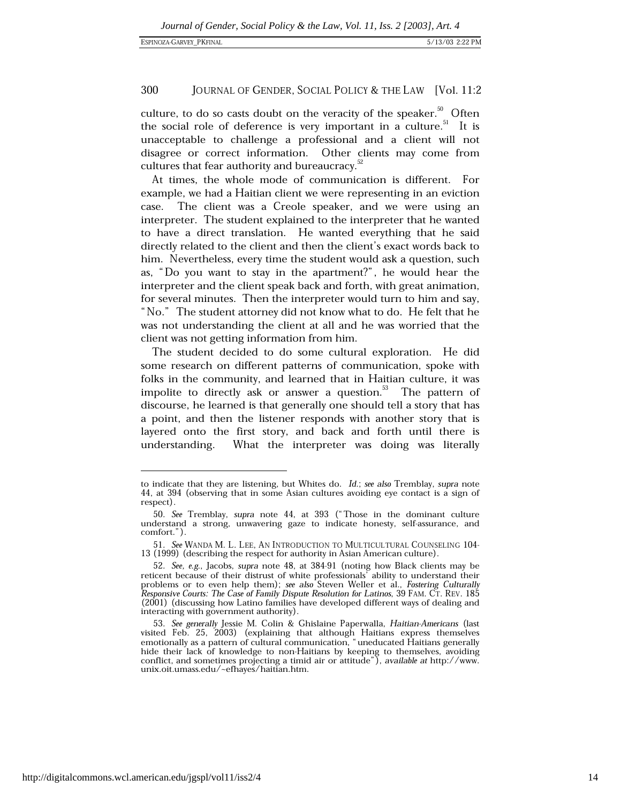culture, to do so casts doubt on the veracity of the speaker.<sup>50</sup> Often the social role of deference is very important in a culture.<sup>51</sup> It is unacceptable to challenge a professional and a client will not disagree or correct information. Other clients may come from cultures that fear authority and bureaucracy.<sup>32</sup>

At times, the whole mode of communication is different. For example, we had a Haitian client we were representing in an eviction The client was a Creole speaker, and we were using an case. interpreter. The student explained to the interpreter that he wanted to have a direct translation. He wanted everything that he said directly related to the client and then the client's exact words back to him. Nevertheless, every time the student would ask a question, such as, "Do you want to stay in the apartment?", he would hear the interpreter and the client speak back and forth, with great animation, for several minutes. Then the interpreter would turn to him and say, "No." The student attorney did not know what to do. He felt that he was not understanding the client at all and he was worried that the client was not getting information from him.

The student decided to do some cultural exploration. He did some research on different patterns of communication, spoke with folks in the community, and learned that in Haitian culture, it was impolite to directly ask or answer a question. The pattern of discourse, he learned is that generally one should tell a story that has a point, and then the listener responds with another story that is layered onto the first story, and back and forth until there is understanding. What the interpreter was doing was literally

to indicate that they are listening, but Whites do. Id.; see also Tremblay, supra note 44, at 394 (observing that in some Asian cultures avoiding eye contact is a sign of respect).

<sup>50.</sup> See Tremblay, supra note 44, at 393 ("Those in the dominant culture understand a strong, unwavering gaze to indicate honesty, self-assurance, and comfort.").

<sup>51.</sup> See WANDA M. L. LEE, AN INTRODUCTION TO MULTICULTURAL COUNSELING 104-13 (1999) (describing the respect for authority in Asian American culture).

<sup>52.</sup> See, e.g., Jacobs, supra note 48, at 384-91 (noting how Black clients may be reticent because of their distrust of white professionals' ability to understand their problems or to even help them); see also Steven Weller et al., Fostering Culturally Responsive Courts: The Case of Family Dispute Resolution for Latinos, 39 FAM. CT. REV. 185 (2001) (discussing how Latino families have developed different ways of dealing and interacting with government authority).

<sup>53.</sup> See generally Jessie M. Colin & Ghislaine Paperwalla, Haitian-Americans (last visited Feb. 25, 2003) (explaining that although Haitians express themselves<br>emotionally as a pattern of cultural communication, "uneducated Haitians generally hide their lack of knowledge to non-Haitians by keeping to themselves, avoiding conflict, and sometimes projecting a timid air or attitude"), available at http://www. unix.oit.umass.edu/~efhayes/haitian.htm.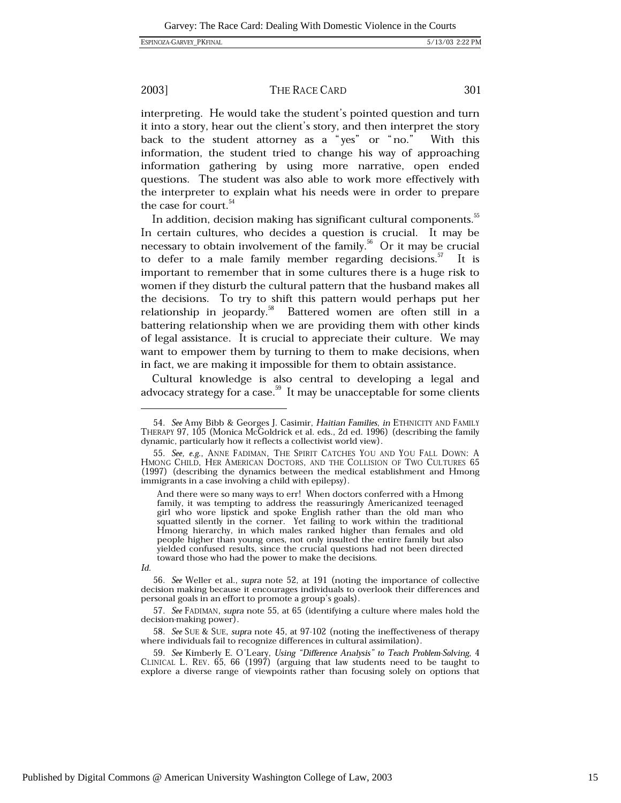### THE RACE CARD

interpreting. He would take the student's pointed question and turn it into a story, hear out the client's story, and then interpret the story back to the student attorney as a "yes" or "no." With this information, the student tried to change his way of approaching information gathering by using more narrative, open ended questions. The student was also able to work more effectively with the interpreter to explain what his needs were in order to prepare the case for court.<sup>54</sup>

In addition, decision making has significant cultural components.<sup>55</sup> In certain cultures, who decides a question is crucial. It may be necessary to obtain involvement of the family.<sup>56</sup> Or it may be crucial to defer to a male family member regarding decisions.<sup>57</sup> It is important to remember that in some cultures there is a huge risk to women if they disturb the cultural pattern that the husband makes all the decisions. To try to shift this pattern would perhaps put her relationship in jeopardy.<sup>58</sup> Battered women are often still in a battering relationship when we are providing them with other kinds of legal assistance. It is crucial to appreciate their culture. We may want to empower them by turning to them to make decisions, when in fact, we are making it impossible for them to obtain assistance.

Cultural knowledge is also central to developing a legal and advocacy strategy for a case.<sup>59</sup> It may be unacceptable for some clients

301

<sup>54.</sup> See Amy Bibb & Georges J. Casimir, Haitian Families, in ETHNICITY AND FAMILY THERAPY 97, 105 (Monica McGoldrick et al. eds., 2d ed. 1996) (describing the family dynamic, particularly how it reflects a collectivist world view).

<sup>55.</sup> See, e.g., ANNE FADIMAN, THE SPIRIT CATCHES YOU AND YOU FALL DOWN: A HMONG CHILD, HER AMERICAN DOCTORS, AND THE COLLISION OF TWO CULTURES 65 (1997) (describing the dynamics between the medical establishment and Hmong immigrants in a case involving a child with epilepsy).

And there were so many ways to err! When doctors conferred with a Hmong family, it was tempting to address the reassuringly Americanized teenaged girl who wore lipstick and spoke English rather than the old man who squatted silently in the corner. Yet failing to work within the traditional Hmong hierarchy, in which males ranked higher than females and old people higher than young ones, not only insulted the entire family but also yielded confused results, since the crucial questions had not been directed toward those who had the power to make the decisions.

Id.

<sup>56.</sup> See Weller et al., supra note 52, at 191 (noting the importance of collective decision making because it encourages individuals to overlook their differences and personal goals in an effort to promote a group's goals).

<sup>57.</sup> See FADIMAN, supra note 55, at 65 (identifying a culture where males hold the decision-making power).

<sup>58.</sup> See SUE & SUE, supra note 45, at 97-102 (noting the ineffectiveness of therapy where individuals fail to recognize differences in cultural assimilation).

<sup>59.</sup> See Kimberly E. O'Leary, Using "Difference Analysis" to Teach Problem-Solving, 4 CLINICAL L. REV. 65, 66 (1997) (arguing that law students need to be taught to explore a diverse range of viewpoints rather than focusing solely on options that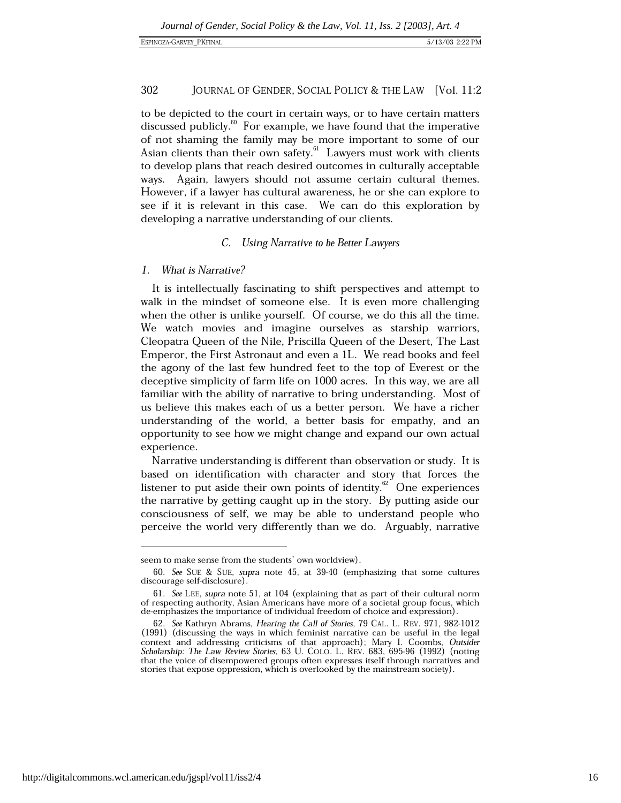to be depicted to the court in certain ways, or to have certain matters discussed publicly.<sup>60</sup> For example, we have found that the imperative of not shaming the family may be more important to some of our Asian clients than their own safety.<sup>61</sup> Lawyers must work with clients to develop plans that reach desired outcomes in culturally acceptable ways. Again, lawyers should not assume certain cultural themes. However, if a lawyer has cultural awareness, he or she can explore to see if it is relevant in this case. We can do this exploration by developing a narrative understanding of our clients.

### C. Using Narrative to be Better Lawyers

#### What is Narrative?  $\mathbf{1}$

It is intellectually fascinating to shift perspectives and attempt to walk in the mindset of someone else. It is even more challenging when the other is unlike yourself. Of course, we do this all the time. We watch movies and imagine ourselves as starship warriors, Cleopatra Queen of the Nile, Priscilla Queen of the Desert, The Last Emperor, the First Astronaut and even a 1L. We read books and feel the agony of the last few hundred feet to the top of Everest or the deceptive simplicity of farm life on 1000 acres. In this way, we are all familiar with the ability of narrative to bring understanding. Most of us believe this makes each of us a better person. We have a richer understanding of the world, a better basis for empathy, and an opportunity to see how we might change and expand our own actual experience.

Narrative understanding is different than observation or study. It is based on identification with character and story that forces the listener to put aside their own points of identity.<sup>62</sup> One experiences the narrative by getting caught up in the story. By putting aside our consciousness of self, we may be able to understand people who perceive the world very differently than we do. Arguably, narrative

seem to make sense from the students' own worldview).

<sup>60.</sup> See SUE & SUE, supra note 45, at 39-40 (emphasizing that some cultures discourage self-disclosure).

<sup>61.</sup> See LEE, supra note 51, at 104 (explaining that as part of their cultural norm of respecting authority, Asian Americans have more of a societal group focus, which de-emphasizes the importance of individual freedom of choice and expression).

<sup>62.</sup> See Kathryn Abrams, Hearing the Call of Stories, 79 CAL. L. REV. 971, 982-1012 (1991) (discussing the ways in which feminist narrative can be useful in the legal context and addressing criticisms of that approach); Mary I. Coombs, Outsider Scholarship: The Law Review Stories, 63 U. COLO. L. REV. 683, 695-96 (1992) (noting that the voice of disempowered groups often expresses itself through narratives and stories that expose oppression, which is overlooked by the mainstream society).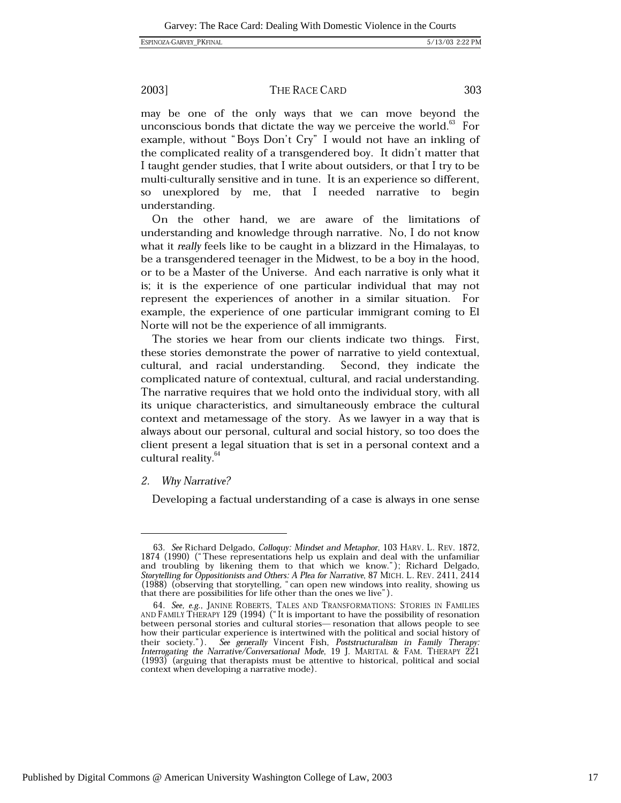THE RACE CARD

may be one of the only ways that we can move beyond the unconscious bonds that dictate the way we perceive the world.<sup>63</sup> For

example, without "Boys Don't Cry" I would not have an inkling of the complicated reality of a transgendered boy. It didn't matter that I taught gender studies, that I write about outsiders, or that I try to be multi-culturally sensitive and in tune. It is an experience so different, so unexplored by me, that I needed narrative to begin understanding.

On the other hand, we are aware of the limitations of understanding and knowledge through narrative. No, I do not know what it really feels like to be caught in a blizzard in the Himalayas, to be a transgendered teenager in the Midwest, to be a boy in the hood, or to be a Master of the Universe. And each narrative is only what it is; it is the experience of one particular individual that may not represent the experiences of another in a similar situation. For example, the experience of one particular immigrant coming to El Norte will not be the experience of all immigrants.

The stories we hear from our clients indicate two things. First, these stories demonstrate the power of narrative to yield contextual. cultural, and racial understanding. Second, they indicate the complicated nature of contextual, cultural, and racial understanding. The narrative requires that we hold onto the individual story, with all its unique characteristics, and simultaneously embrace the cultural context and metamessage of the story. As we lawyer in a way that is always about our personal, cultural and social history, so too does the client present a legal situation that is set in a personal context and a cultural reality.<sup>64</sup>

### 2. Why Narrative?

Developing a factual understanding of a case is always in one sense

303

<sup>63.</sup> See Richard Delgado, Colloquy: Mindset and Metaphor, 103 HARV. L. REV. 1872, 1874 (1990) ("These representations help us explain and deal with the unfamiliar<br>and troubling by likening them to that which we know."); Richard Delgado, Storytelling for Oppositionists and Others: A Plea for Narrative, 87 MICH. L. REV. 2411, 2414 (1988) (observing that storytelling, "can open new windows into reality, showing us that there are possibilities for life other than the ones we live").

 $64.$  See, e.g., JANINE ROBERTS, TALES AND TRANSFORMATIONS: STORIES IN FAMILIES AND FAMILY THERAPY 129 (1994) ("It is important to have the possibility of resonation between personal stories and cultural stories— resonation that allows people to see how their particular experience is intertwined with the political and social history of their society."). See generally Vincent Fish, Poststructuralism in Family Therapy: Interrogating the Narrative/Conversational Mode, 19 J. MARITAL & FAM. THERAPY 221 (1993) (arguing that therapists must be attentive to historical, political and social context when developing a narrative mode).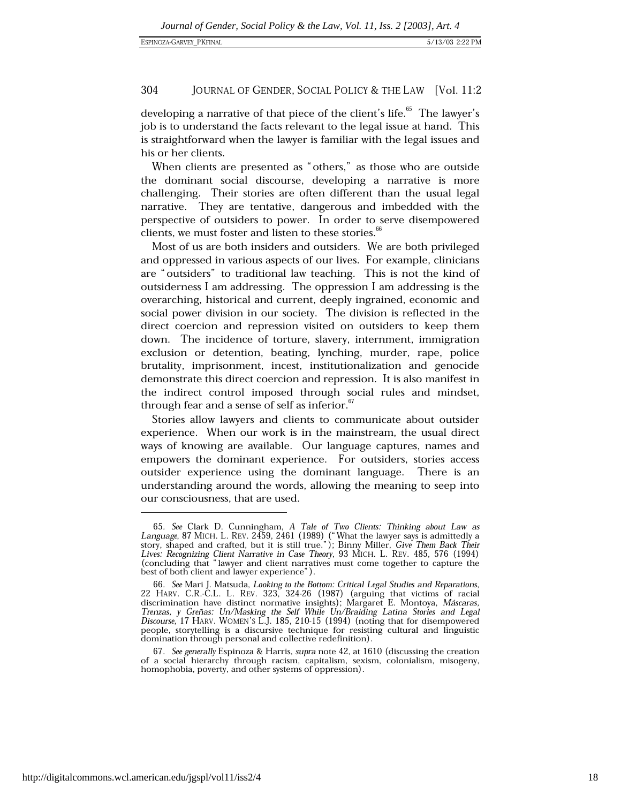developing a narrative of that piece of the client's life.<sup>65</sup> The lawyer's job is to understand the facts relevant to the legal issue at hand. This is straightforward when the lawyer is familiar with the legal issues and his or her clients.

When clients are presented as "others," as those who are outside the dominant social discourse, developing a narrative is more challenging. Their stories are often different than the usual legal narrative. They are tentative, dangerous and imbedded with the perspective of outsiders to power. In order to serve disempowered clients, we must foster and listen to these stories.<sup>66</sup>

Most of us are both insiders and outsiders. We are both privileged and oppressed in various aspects of our lives. For example, clinicians are "outsiders" to traditional law teaching. This is not the kind of outsiderness I am addressing. The oppression I am addressing is the overarching, historical and current, deeply ingrained, economic and social power division in our society. The division is reflected in the direct coercion and repression visited on outsiders to keep them down. The incidence of torture, slavery, internment, immigration exclusion or detention, beating, lynching, murder, rape, police brutality, imprisonment, incest, institutionalization and genocide demonstrate this direct coercion and repression. It is also manifest in the indirect control imposed through social rules and mindset, through fear and a sense of self as inferior.<sup>67</sup>

Stories allow lawyers and clients to communicate about outsider experience. When our work is in the mainstream, the usual direct ways of knowing are available. Our language captures, names and empowers the dominant experience. For outsiders, stories access outsider experience using the dominant language. There is an understanding around the words, allowing the meaning to seep into our consciousness, that are used.

67. See generally Espinoza & Harris, supra note 42, at 1610 (discussing the creation of a social hierarchy through racism, capitalism, sexism, colonialism, misogeny, homophobia, poverty, and other systems of oppression).

<sup>65.</sup> See Clark D. Cunningham, A Tale of Two Clients: Thinking about Law as Language, 87 MICH. L. REV. 2459, 2461 (1989) ("What the lawyer says is admittedly a story, shaped and crafted, but it is still true."); Binny Miller Lives: Recognizing Client Narrative in Case Theory, 93 Mich. L. REV. 485, 576 (1994)<br>(concluding that "lawyer and client narratives must come together to capture the best of both client and lawyer experience").

<sup>66.</sup> See Mari J. Matsuda, Looking to the Bottom: Critical Legal Studies and Reparations, 22 HARV. C.R.-C.L. L. REV. 323, 324-26 (1987) (arguing that victims of racial discrimination have distinct normative insights); Margar Trenzas, y Greñas: Un/Masking the Self While Un/Braiding Latina Stories and Legal Discourse, 17 HARV. WOMEN'S L.J. 185, 210-15 (1994) (noting that for disempowered people, storytelling is a discursive technique for resisting cultural and linguistic domination through personal and collective redefinition).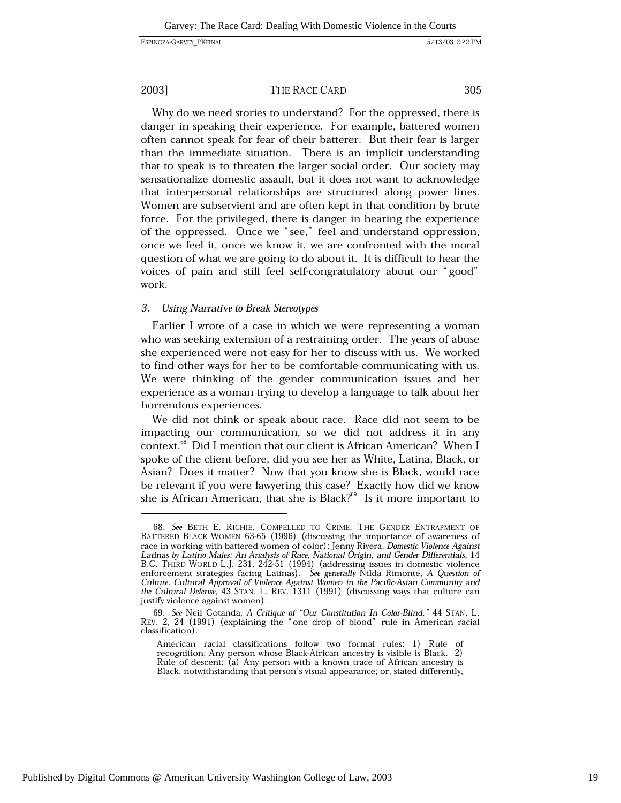305

### 2003]

work.

### THE RACE CARD

Why do we need stories to understand? For the oppressed, there is danger in speaking their experience. For example, battered women often cannot speak for fear of their batterer. But their fear is larger than the immediate situation. There is an implicit understanding that to speak is to threaten the larger social order. Our society may sensationalize domestic assault, but it does not want to acknowledge that interpersonal relationships are structured along power lines. Women are subservient and are often kept in that condition by brute force. For the privileged, there is danger in hearing the experience of the oppressed. Once we "see," feel and understand oppression, once we feel it, once we know it, we are confronted with the moral question of what we are going to do about it. It is difficult to hear the voices of pain and still feel self-congratulatory about our "good"

#### **Using Narrative to Break Stereotypes** 3.

Earlier I wrote of a case in which we were representing a woman who was seeking extension of a restraining order. The years of abuse she experienced were not easy for her to discuss with us. We worked to find other ways for her to be comfortable communicating with us. We were thinking of the gender communication issues and her experience as a woman trying to develop a language to talk about her horrendous experiences.

We did not think or speak about race. Race did not seem to be impacting our communication, so we did not address it in any context.<sup>68</sup> Did I mention that our client is African American? When I spoke of the client before, did you see her as White, Latina, Black, or Asian? Does it matter? Now that you know she is Black, would race be relevant if you were lawyering this case? Exactly how did we know she is African American, that she is Black?<sup>69</sup> Is it more important to

<sup>68.</sup> See BETH E. RICHIE, COMPELLED TO CRIME: THE GENDER ENTRAPMENT OF BATTERED BLACK WOMEN 63-65 (1996) (discussing the importance of awareness of race in working with battered women of color); Jenny Rivera, Domestic Violence Against Latinas by Latino Males: An Analysis of Race, National Örigin, and Gender Differentials, 14 B.C. THIRD WORLD L.J. 231, 242-51 (1994) (addressing issues in domestic violence<br>enforcement strategies facing Latinas). See generally Nilda Rimonte, A Question of<br>Culture: Cultural Approval of Violence Against Women in th the Cultural Defense, 43 STAN. L. REV. 1311 (1991) (discussing ways that culture can justify violence against women).

<sup>69.</sup> See Neil Gotanda, A Critique of "Our Constitution In Color-Blind," 44 STAN. L. REV. 2, 24 (1991) (explaining the "one drop of blood" rule in American racial classification).

American racial classifications follow two formal rules: 1) Rule of recognition: Any person whose Black-African ancestry is visible is Black. 2)<br>Rule of descent: (a) Any person with a known trace of African ancestry is Black, notwithstanding that person's visual appearance; or, stated differently,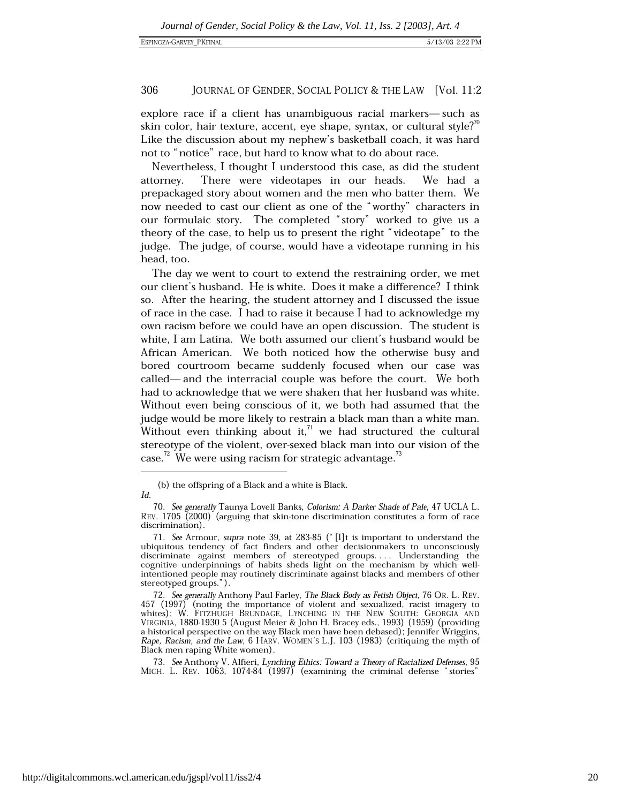explore race if a client has unambiguous racial markers—such as skin color, hair texture, accent, eye shape, syntax, or cultural style? $0$ <sup>0</sup> Like the discussion about my nephew's basketball coach, it was hard not to "notice" race, but hard to know what to do about race.

Nevertheless, I thought I understood this case, as did the student attorney. There were videotapes in our heads. We had a prepackaged story about women and the men who batter them. We now needed to cast our client as one of the "worthy" characters in our formulaic story. The completed "story" worked to give us a theory of the case, to help us to present the right "videotape" to the judge. The judge, of course, would have a videotape running in his head, too.

The day we went to court to extend the restraining order, we met our client's husband. He is white. Does it make a difference? I think so. After the hearing, the student attorney and I discussed the issue of race in the case. I had to raise it because I had to acknowledge my own racism before we could have an open discussion. The student is white, I am Latina. We both assumed our client's husband would be African American. We both noticed how the otherwise busy and bored courtroom became suddenly focused when our case was called—and the interracial couple was before the court. We both had to acknowledge that we were shaken that her husband was white. Without even being conscious of it, we both had assumed that the judge would be more likely to restrain a black man than a white man. Without even thinking about it, $1/2$  we had structured the cultural stereotype of the violent, over-sexed black man into our vision of the case.<sup>72</sup> We were using racism for strategic advantage.<sup>73</sup>

<sup>(</sup>b) the offspring of a Black and a white is Black. Id.

<sup>70.</sup> See generally Taunya Lovell Banks, Colorism: A Darker Shade of Pale, 47 UCLA L.  $\text{REV}$ . 1705 (2000) (arguing that skin-tone discrimination constitutes a form of race discrimination).

<sup>71.</sup> See Armour, supra note 39, at 283-85 ("Il t is important to understand the ubiquitous tendency of fact finders and other decisionmakers to unconsciously discriminate against members of stereotyped groups.... Understanding the cognitive underpinnings of habits sheds light on the mechanism by which wellintentioned people may routinely discriminate against blacks and members of other stereotyped groups.").

<sup>72.</sup> See generally Anthony Paul Farley, The Black Body as Fetish Object, 76 OR. L. REV. 457 (1997) (noting the importance of violent and sexualized, racist imagery to whites); W. FITZHUGH BRUNDAGE, LYNCHING IN THE NEW SOUTH: GEORGIA AND VIRGINIA, 1880-1930 5 (August Meier & John H. Bracey eds., 1993) (1959) (providing a historical perspective on the way Black men have been debased); Jennifer Wriggins, Rape, Racism, and the Law, 6 HARV. WOMEN'S L.J. 103 (1983) (critiquing the myth of Black men raping White women).

<sup>73.</sup> See Anthony V. Alfieri, Lynching Ethics: Toward a Theory of Racialized Defenses, 95 MICH. L. REV. 1063, 1074-84 (1997) (examining the criminal defense "stories"